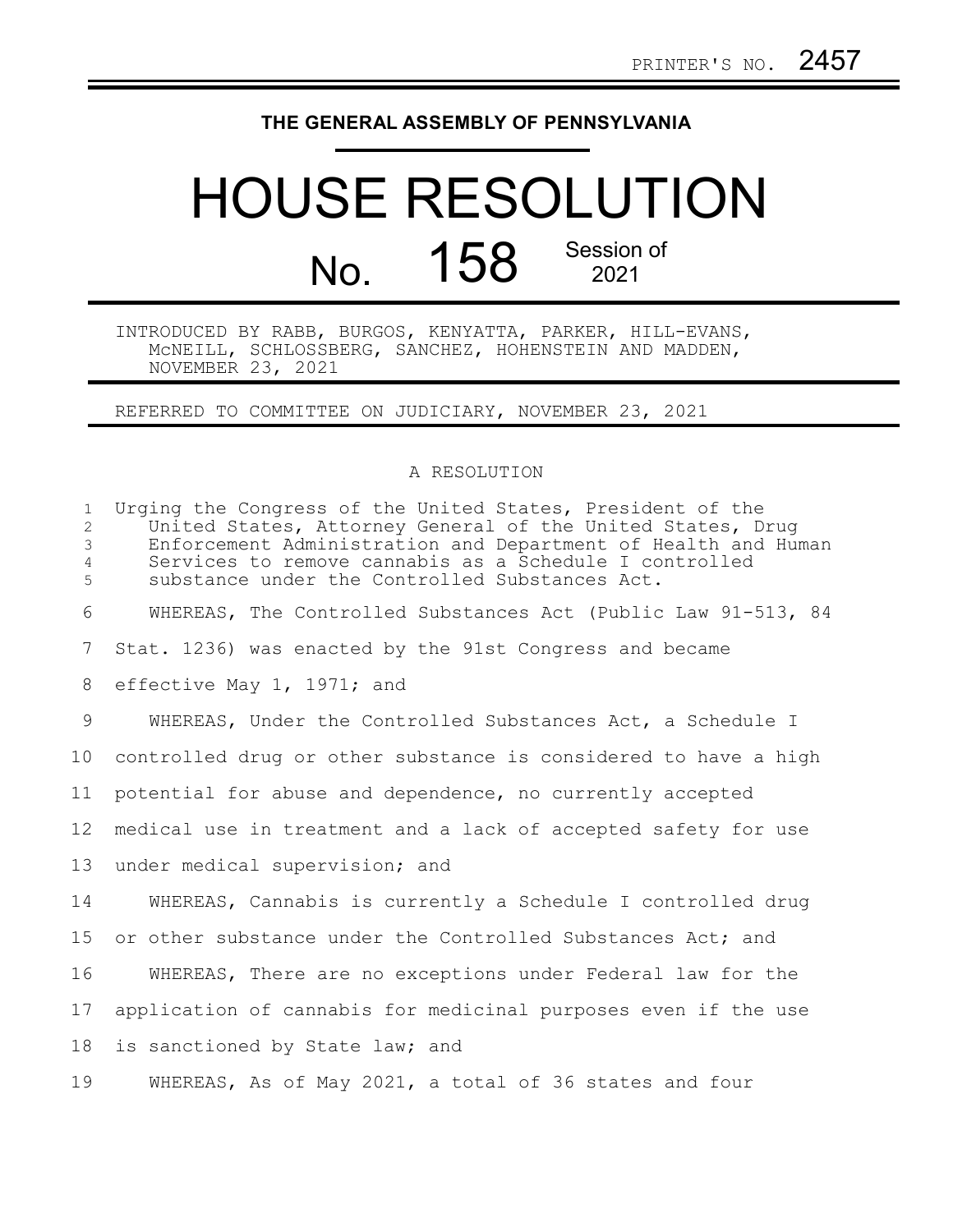## **THE GENERAL ASSEMBLY OF PENNSYLVANIA**

## HOUSE RESOLUTION No. 158 Session of

INTRODUCED BY RABB, BURGOS, KENYATTA, PARKER, HILL-EVANS, McNEILL, SCHLOSSBERG, SANCHEZ, HOHENSTEIN AND MADDEN, NOVEMBER 23, 2021

REFERRED TO COMMITTEE ON JUDICIARY, NOVEMBER 23, 2021

## A RESOLUTION

| $\mathbf{1}$<br>$\overline{2}$<br>$\mathfrak{Z}$<br>$\overline{4}$<br>5 | Urging the Congress of the United States, President of the<br>United States, Attorney General of the United States, Drug<br>Enforcement Administration and Department of Health and Human<br>Services to remove cannabis as a Schedule I controlled<br>substance under the Controlled Substances Act. |
|-------------------------------------------------------------------------|-------------------------------------------------------------------------------------------------------------------------------------------------------------------------------------------------------------------------------------------------------------------------------------------------------|
| 6                                                                       | WHEREAS, The Controlled Substances Act (Public Law 91-513, 84                                                                                                                                                                                                                                         |
| 7                                                                       | Stat. 1236) was enacted by the 91st Congress and became                                                                                                                                                                                                                                               |
| 8                                                                       | effective May 1, 1971; and                                                                                                                                                                                                                                                                            |
| 9                                                                       | WHEREAS, Under the Controlled Substances Act, a Schedule I                                                                                                                                                                                                                                            |
| 10                                                                      | controlled drug or other substance is considered to have a high                                                                                                                                                                                                                                       |
| 11                                                                      | potential for abuse and dependence, no currently accepted                                                                                                                                                                                                                                             |
| 12                                                                      | medical use in treatment and a lack of accepted safety for use                                                                                                                                                                                                                                        |
| 13                                                                      | under medical supervision; and                                                                                                                                                                                                                                                                        |
| 14                                                                      | WHEREAS, Cannabis is currently a Schedule I controlled drug                                                                                                                                                                                                                                           |
| 15                                                                      | or other substance under the Controlled Substances Act; and                                                                                                                                                                                                                                           |
| 16                                                                      | WHEREAS, There are no exceptions under Federal law for the                                                                                                                                                                                                                                            |
| 17                                                                      | application of cannabis for medicinal purposes even if the use                                                                                                                                                                                                                                        |
| 18                                                                      | is sanctioned by State law; and                                                                                                                                                                                                                                                                       |
| 19                                                                      | WHEREAS, As of May 2021, a total of 36 states and four                                                                                                                                                                                                                                                |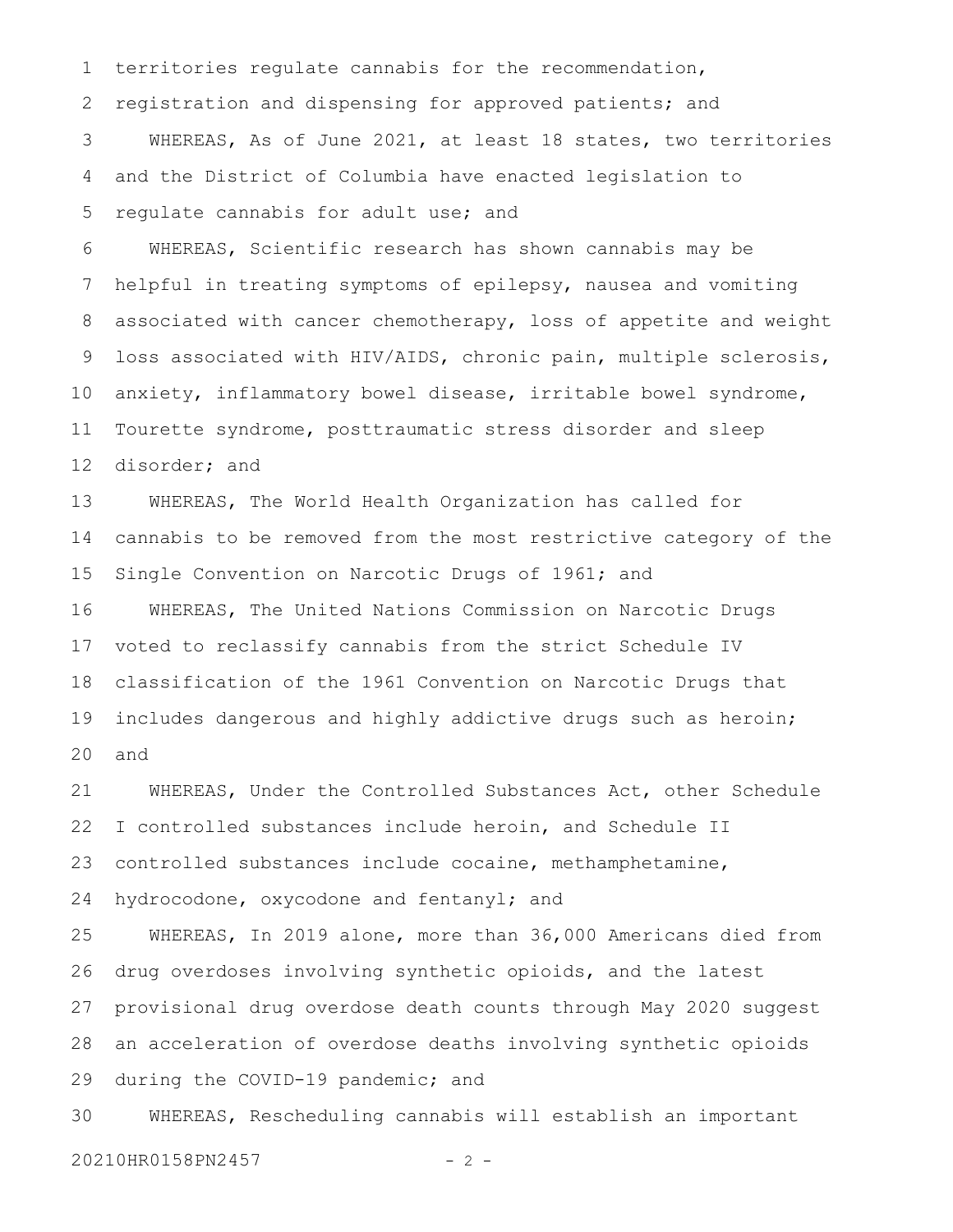territories regulate cannabis for the recommendation, registration and dispensing for approved patients; and WHEREAS, As of June 2021, at least 18 states, two territories and the District of Columbia have enacted legislation to regulate cannabis for adult use; and 1 2 3 4 5

WHEREAS, Scientific research has shown cannabis may be helpful in treating symptoms of epilepsy, nausea and vomiting associated with cancer chemotherapy, loss of appetite and weight loss associated with HIV/AIDS, chronic pain, multiple sclerosis, anxiety, inflammatory bowel disease, irritable bowel syndrome, Tourette syndrome, posttraumatic stress disorder and sleep disorder; and 6 7 8 9 10 11 12

WHEREAS, The World Health Organization has called for cannabis to be removed from the most restrictive category of the Single Convention on Narcotic Drugs of 1961; and WHEREAS, The United Nations Commission on Narcotic Drugs voted to reclassify cannabis from the strict Schedule IV classification of the 1961 Convention on Narcotic Drugs that includes dangerous and highly addictive drugs such as heroin; and 13 14 15 16 17 18 19 20

WHEREAS, Under the Controlled Substances Act, other Schedule I controlled substances include heroin, and Schedule II controlled substances include cocaine, methamphetamine, hydrocodone, oxycodone and fentanyl; and 21 22 23 24

WHEREAS, In 2019 alone, more than 36,000 Americans died from drug overdoses involving synthetic opioids, and the latest provisional drug overdose death counts through May 2020 suggest an acceleration of overdose deaths involving synthetic opioids during the COVID-19 pandemic; and 25 26 27 28 29

WHEREAS, Rescheduling cannabis will establish an important 30

20210HR0158PN2457 - 2 -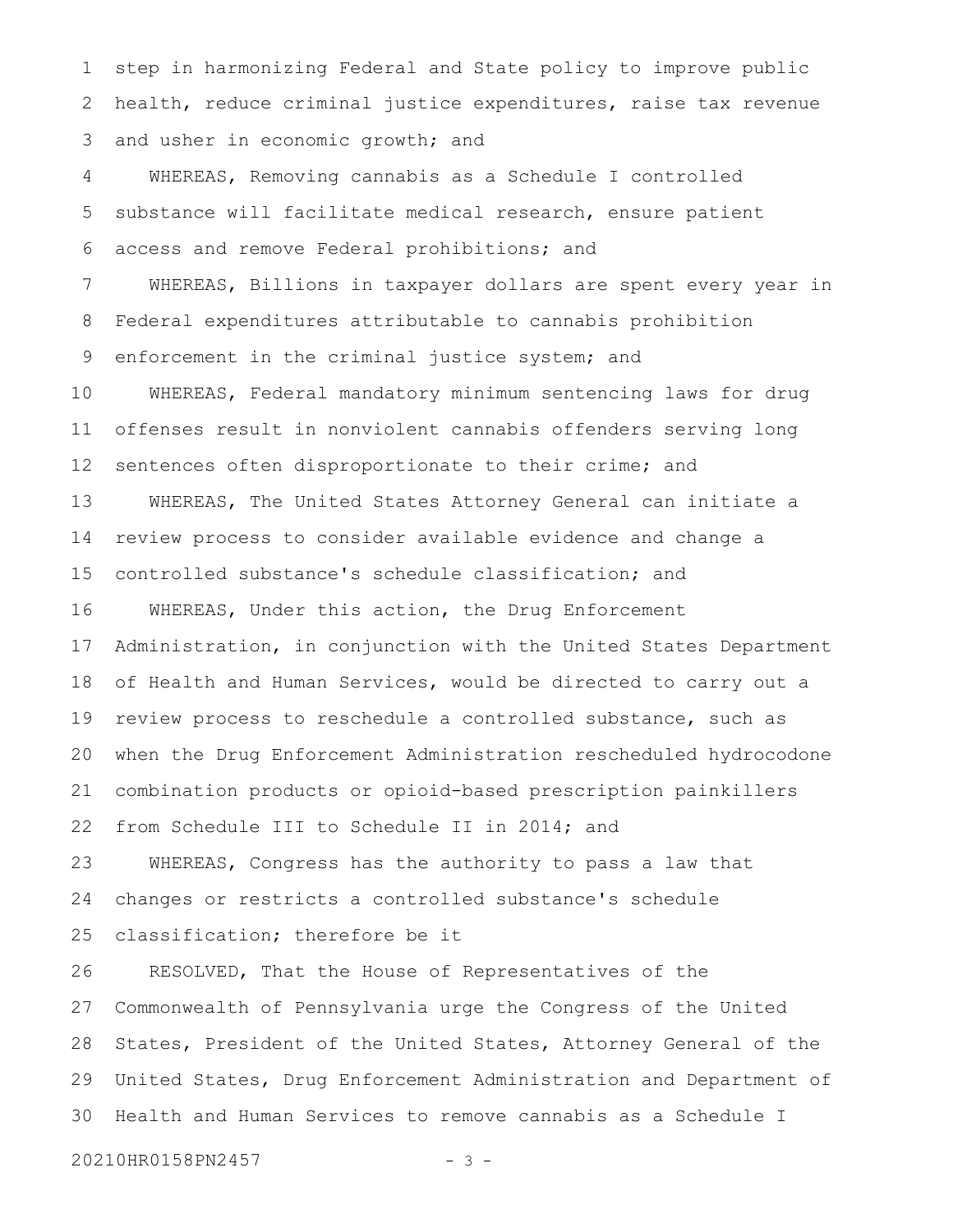step in harmonizing Federal and State policy to improve public health, reduce criminal justice expenditures, raise tax revenue and usher in economic growth; and 1 2 3

WHEREAS, Removing cannabis as a Schedule I controlled substance will facilitate medical research, ensure patient access and remove Federal prohibitions; and 4 5 6

WHEREAS, Billions in taxpayer dollars are spent every year in Federal expenditures attributable to cannabis prohibition enforcement in the criminal justice system; and 7 8 9

WHEREAS, Federal mandatory minimum sentencing laws for drug offenses result in nonviolent cannabis offenders serving long sentences often disproportionate to their crime; and WHEREAS, The United States Attorney General can initiate a review process to consider available evidence and change a controlled substance's schedule classification; and 10 11 12 13 14 15

WHEREAS, Under this action, the Drug Enforcement Administration, in conjunction with the United States Department of Health and Human Services, would be directed to carry out a review process to reschedule a controlled substance, such as when the Drug Enforcement Administration rescheduled hydrocodone combination products or opioid-based prescription painkillers from Schedule III to Schedule II in 2014; and 16 17 18 19 20 21 22

WHEREAS, Congress has the authority to pass a law that changes or restricts a controlled substance's schedule 23 24

classification; therefore be it 25

RESOLVED, That the House of Representatives of the Commonwealth of Pennsylvania urge the Congress of the United States, President of the United States, Attorney General of the United States, Drug Enforcement Administration and Department of Health and Human Services to remove cannabis as a Schedule I 26 27 28 29 30

20210HR0158PN2457 - 3 -